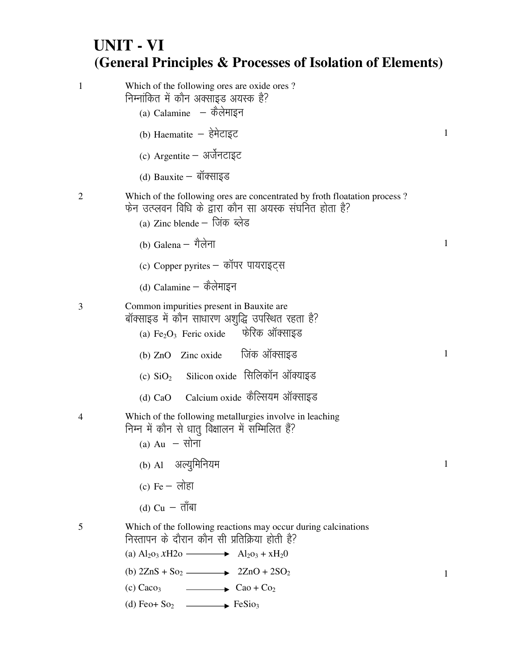## **UNIT - VI (General Principles & Processes of Isolation of Elements)**

| 1              | Which of the following ores are oxide ores?<br>निम्नांकित में कौन अक्साइड अयस्क है?<br>(a) Calamine $-$ कैलेमाइन                                                      |              |
|----------------|-----------------------------------------------------------------------------------------------------------------------------------------------------------------------|--------------|
|                | (b) Haematite - हेमेटाइट                                                                                                                                              | $\mathbf{1}$ |
|                | (c) Argentite - अर्जेनटाइट                                                                                                                                            |              |
|                | (d) Bauxite – बॉक्साइड                                                                                                                                                |              |
| $\overline{2}$ | Which of the following ores are concentrated by froth floatation process?<br>फेन उत्प्लवन विधि के द्वारा कौन सा अयस्क संघनित होता है?<br>(a) Zinc blende – जिंक ब्लेड |              |
|                | (b) Galena – गैलेना                                                                                                                                                   | 1            |
|                | (c) Copper pyrites - कॉपर पायराइट्स                                                                                                                                   |              |
|                | (d) Calamine – कैलेमाइन                                                                                                                                               |              |
| 3              | Common impurities present in Bauxite are<br>बॉक्साइड में कौन साधारण अशुद्धि उपस्थित रहता है?<br>(a) $Fe2O3$ Feric oxide केरिक ऑक्साइड                                 |              |
|                | (b) ZnO Zinc oxide जिंक ऑक्साइड                                                                                                                                       | $\mathbf{1}$ |
|                | (c) SiO <sub>2</sub> Silicon oxide सिलिकॉन ऑक्याइड                                                                                                                    |              |
|                | Calcium oxide कैल्सियम ऑक्साइड<br>$(d)$ CaO                                                                                                                           |              |
|                | Which of the following metallurgies involve in leaching<br>निम्न में कौन से धात् विक्षालन में सम्मिलित हैं?<br>(a) $Au - \overline{v}$ ना                             |              |
|                | (b) Al अल्युमिनियम                                                                                                                                                    | $\mathbf{1}$ |
|                | (c) $Fe - \overline{O}$ लोहा                                                                                                                                          |              |
|                | (d) $Cu - \overline{d}$ ाबा                                                                                                                                           |              |
| 5              | Which of the following reactions may occur during calcinations<br>निस्तापन के दौरान कौन सी प्रतिक्रिया होती है?                                                       |              |
|                | (a) $Al_2o_3 xH2o \longrightarrow Al_2o_3 + xH_2O$                                                                                                                    |              |
|                | (b) $2\text{ZnS} + \text{So}_2$ $\longrightarrow$ $2\text{ZnO} + 2\text{SO}_2$                                                                                        | 1            |
|                | $(c)$ Caco <sub>3</sub><br>$\overline{\phantom{a}}$ Cao + Co <sub>2</sub>                                                                                             |              |
|                | (d) Feo+ $\text{So}_2$ $\longrightarrow$ FeSio <sub>3</sub>                                                                                                           |              |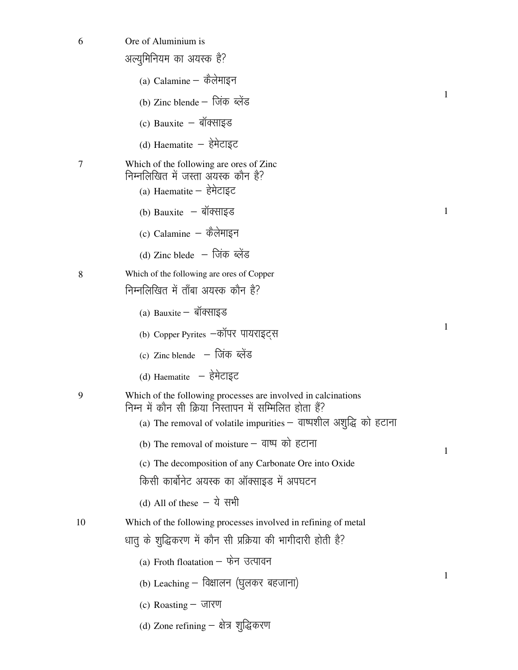| 6  | Ore of Aluminium is                                                                                                                                                                            |              |
|----|------------------------------------------------------------------------------------------------------------------------------------------------------------------------------------------------|--------------|
|    | अल्युमिनियम का अयस्क है?                                                                                                                                                                       |              |
|    | (a) Calamine – कैलेमाइन                                                                                                                                                                        |              |
|    | (b) Zinc blende – जिंक ब्लेंड                                                                                                                                                                  | 1            |
|    | $(c)$ Bauxite – बॉक्साइड                                                                                                                                                                       |              |
|    | (d) Haematite - हेमेटाइट                                                                                                                                                                       |              |
| 7  | Which of the following are ores of Zinc<br>निम्नलिखित में जस्ता अयस्क कौन है?<br>$(a)$ Haematite – हेमेटाइट                                                                                    |              |
|    | (b) Bauxite $-$ बॉक्साइड                                                                                                                                                                       | $\mathbf{1}$ |
|    | (c) Calamine $-$ कैलेमाइन                                                                                                                                                                      |              |
|    | (d) Zinc blede – जिंक ब्लेंड                                                                                                                                                                   |              |
| 8  | Which of the following are ores of Copper                                                                                                                                                      |              |
|    | निम्नलिखित में ताँबा अयस्क कौन है?                                                                                                                                                             |              |
|    | $(a)$ Bauxite – बॉक्साइड                                                                                                                                                                       |              |
|    | (b) Copper Pyrites –कॉपर पायराइट्स                                                                                                                                                             | 1            |
|    | (c) Zinc blende – जिंक ब्लेंड                                                                                                                                                                  |              |
|    | (d) Haematite - हेमेटाइट                                                                                                                                                                       |              |
| 9  | Which of the following processes are involved in calcinations<br>निम्न में कौन सी क्रिया निस्तापन में सम्मिलित होता हैं?<br>(a) The removal of volatile impurities – वाष्पशील अशुद्धि को हटाना |              |
|    | (b) The removal of moisture – वाष्प को हटाना                                                                                                                                                   | 1            |
|    | (c) The decomposition of any Carbonate Ore into Oxide                                                                                                                                          |              |
|    | किसी कार्बोनेट अयस्क का ऑक्साइड में अपघटन                                                                                                                                                      |              |
|    | (d) All of these $-$ ये सभी                                                                                                                                                                    |              |
| 10 | Which of the following processes involved in refining of metal                                                                                                                                 |              |
|    | धातु के शुद्धिकरण में कौन सी प्रक्रिया की भागीदारी होती है?                                                                                                                                    |              |
|    | (a) Froth floatation - फेन उत्पावन                                                                                                                                                             |              |
|    | (b) Leaching – विक्षालन (घुलकर बहजाना)                                                                                                                                                         | 1            |
|    | (c) Roasting – जारण                                                                                                                                                                            |              |
|    | (d) Zone refining – क्षेत्र शुद्धिकरण                                                                                                                                                          |              |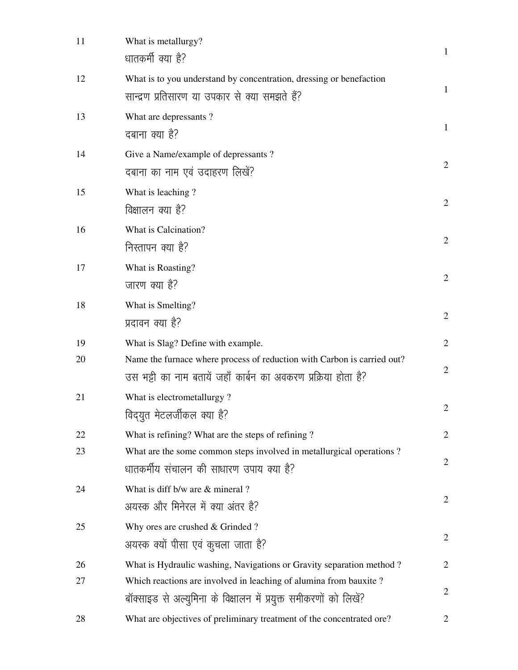| 11 | What is metallurgy?<br>धातकर्मी क्या है?                                                                                                  | $\mathbf{1}$   |
|----|-------------------------------------------------------------------------------------------------------------------------------------------|----------------|
| 12 | What is to you understand by concentration, dressing or benefaction<br>सान्द्रण प्रतिसारण या उपकार से क्या समझते हैं?                     | 1              |
| 13 | What are depressants?<br>दबाना क्या है?                                                                                                   | $\mathbf{1}$   |
| 14 | Give a Name/example of depressants?<br>दबाना का नाम एवं उदाहरण लिखें?                                                                     | $\overline{2}$ |
| 15 | What is leaching?<br>विक्षालन क्या है?                                                                                                    | $\overline{2}$ |
| 16 | What is Calcination?<br>निस्तापन क्या है?                                                                                                 | $\overline{2}$ |
| 17 | What is Roasting?<br>जारण क्या है?                                                                                                        | $\overline{2}$ |
| 18 | What is Smelting?<br>प्रदावन क्या है?                                                                                                     | $\overline{2}$ |
| 19 | What is Slag? Define with example.                                                                                                        | $\overline{2}$ |
| 20 | Name the furnace where process of reduction with Carbon is carried out?<br>उस भट्टी का नाम बतायें जहाँ कार्बन का अवकरण प्रक्रिया होता है? | $\mathbf{2}$   |
| 21 | What is electrometallurgy?<br>विद्युत मेटलर्जीकल क्या है?                                                                                 | $\overline{2}$ |
| 22 | What is refining? What are the steps of refining?                                                                                         | $\overline{c}$ |
| 23 | What are the some common steps involved in metallurgical operations?<br>धातकर्मीय संचालन की साधारण उपाय क्या है?                          | $\overline{2}$ |
| 24 | What is diff b/w are & mineral?<br>अयस्क और मिनेरल में क्या अंतर है?                                                                      | $\overline{2}$ |
| 25 | Why ores are crushed & Grinded?<br>अयस्क क्यों पीसा एवं कुचला जाता है?                                                                    | $\overline{2}$ |
| 26 | What is Hydraulic washing, Navigations or Gravity separation method?                                                                      | 2              |
| 27 | Which reactions are involved in leaching of alumina from bauxite?<br>बॉक्साइड से अल्युमिना के विक्षालन में प्रयुक्त समीकरणों को लिखें?    | 2              |
| 28 | What are objectives of preliminary treatment of the concentrated ore?                                                                     | $\overline{2}$ |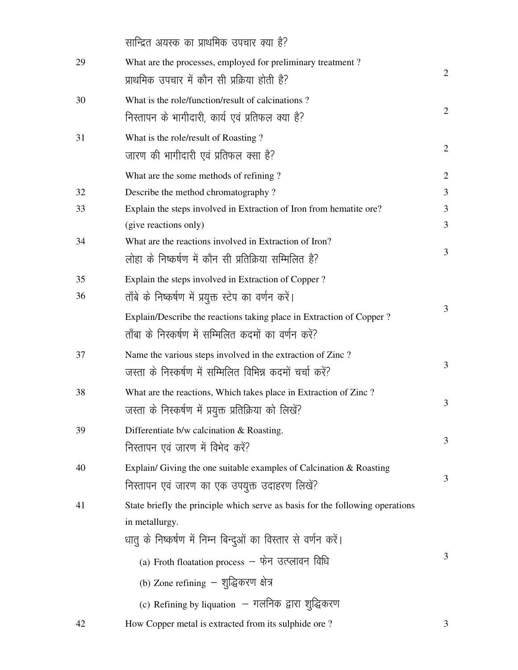|    | सान्द्रित अयस्क का प्राथमिक उपचार क्या है?                                    |                |
|----|-------------------------------------------------------------------------------|----------------|
| 29 | What are the processes, employed for preliminary treatment?                   |                |
|    | प्राथमिक उपचार में कौन सी प्रक्रिया होती है?                                  | $\overline{2}$ |
| 30 | What is the role/function/result of calcinations?                             |                |
|    | निस्तापन के भागीदारी, कार्य एवं प्रतिफल क्या है?                              | $\overline{2}$ |
| 31 | What is the role/result of Roasting?                                          |                |
|    | जारण की भागीदारी एवं प्रतिफल क्सा है?                                         | $\overline{2}$ |
|    | What are the some methods of refining?                                        | $\overline{2}$ |
| 32 | Describe the method chromatography?                                           | 3              |
| 33 | Explain the steps involved in Extraction of Iron from hematite ore?           | 3              |
|    | (give reactions only)                                                         | 3              |
| 34 | What are the reactions involved in Extraction of Iron?                        |                |
|    | लोहा के निष्कर्षण में कौन सी प्रतिक्रिया सम्मिलित है?                         | 3              |
| 35 | Explain the steps involved in Extraction of Copper?                           |                |
| 36 | ताँबे के निष्कर्षण में प्रयुक्त स्टेप का वर्णन करें।                          |                |
|    | Explain/Describe the reactions taking place in Extraction of Copper ?         | 3              |
|    | ताँबा के निस्कर्षण में सम्मिलित कदमों का वर्णन करें?                          |                |
| 37 | Name the various steps involved in the extraction of Zinc?                    |                |
|    | जस्ता के निस्कर्षण में सम्मिलित विभिन्न कदमों चर्चा करें?                     | 3              |
| 38 | What are the reactions, Which takes place in Extraction of Zinc?              |                |
|    | जस्ता के निस्कर्षण में प्रयुक्त प्रतिक्रिया को लिखें?                         | 3              |
| 39 | Differentiate b/w calcination & Roasting.                                     |                |
|    | निस्तापन एवं जारण में विभेद करें?                                             | 3              |
| 40 | Explain/ Giving the one suitable examples of Calcination $&$ Roasting         |                |
|    | निस्तापन एवं जारण का एक उपयुक्त उदाहरण लिखें?                                 | 3              |
| 41 | State briefly the principle which serve as basis for the following operations |                |
|    | in metallurgy.                                                                |                |
|    | धातु के निष्कर्षण में निम्न बिन्दुओं का विस्तार से वर्णन करें।                |                |
|    | (a) Froth floatation process - फेन उत्प्लावन विधि                             | 3              |
|    | (b) Zone refining - शुद्धिकरण क्षेत्र                                         |                |
|    | (c) Refining by liquation  — गलनिक द्वारा शुद्धिकरण                           |                |
| 42 | How Copper metal is extracted from its sulphide ore?                          | 3              |
|    |                                                                               |                |